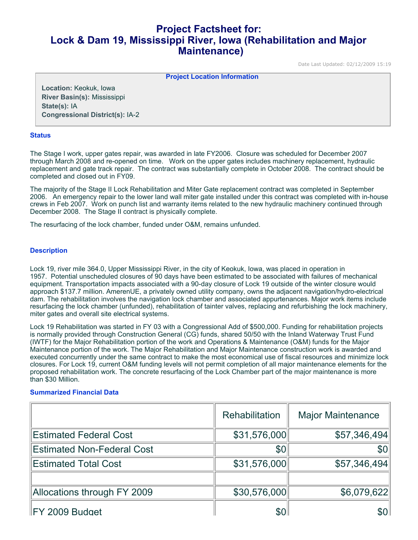# **Project Factsheet for: Lock & Dam 19, Mississippi River, Iowa (Rehabilitation and Major Maintenance)**

Date Last Updated: 02/12/2009 15:19

**Project Location Information** 

**Location:** Keokuk, Iowa **River Basin(s):** Mississippi **State(s):** IA **Congressional District(s):** IA-2

#### **Status**

The Stage I work, upper gates repair, was awarded in late FY2006. Closure was scheduled for December 2007 through March 2008 and re-opened on time. Work on the upper gates includes machinery replacement, hydraulic replacement and gate track repair. The contract was substantially complete in October 2008. The contract should be completed and closed out in FY09.

The majority of the Stage II Lock Rehabilitation and Miter Gate replacement contract was completed in September 2006. An emergency repair to the lower land wall miter gate installed under this contract was completed with in-house crews in Feb 2007. Work on punch list and warranty items related to the new hydraulic machinery continued through December 2008. The Stage II contract is physically complete.

The resurfacing of the lock chamber, funded under O&M, remains unfunded.

#### **Description**

Lock 19, river mile 364.0, Upper Mississippi River, in the city of Keokuk, Iowa, was placed in operation in 1957. Potential unscheduled closures of 90 days have been estimated to be associated with failures of mechanical equipment. Transportation impacts associated with a 90-day closure of Lock 19 outside of the winter closure would approach \$137.7 million. AmerenUE, a privately owned utility company, owns the adjacent navigation/hydro-electrical dam. The rehabilitation involves the navigation lock chamber and associated appurtenances. Major work items include resurfacing the lock chamber (unfunded), rehabilitation of tainter valves, replacing and refurbishing the lock machinery, miter gates and overall site electrical systems.

Lock 19 Rehabilitation was started in FY 03 with a Congressional Add of \$500,000. Funding for rehabilitation projects is normally provided through Construction General (CG) funds, shared 50/50 with the Inland Waterway Trust Fund (IWTF) for the Major Rehabilitation portion of the work and Operations & Maintenance (O&M) funds for the Major Maintenance portion of the work. The Major Rehabilitation and Major Maintenance construction work is awarded and executed concurrently under the same contract to make the most economical use of fiscal resources and minimize lock closures. For Lock 19, current O&M funding levels will not permit completion of all major maintenance elements for the proposed rehabilitation work. The concrete resurfacing of the Lock Chamber part of the major maintenance is more than \$30 Million.

### **Summarized Financial Data**

|                                   | Rehabilitation | <b>Major Maintenance</b> |
|-----------------------------------|----------------|--------------------------|
| <b>Estimated Federal Cost</b>     | \$31,576,000   | \$57,346,494             |
| <b>Estimated Non-Federal Cost</b> | \$0            | \$0                      |
| <b>Estimated Total Cost</b>       | \$31,576,000   | \$57,346,494             |
|                                   |                |                          |
| Allocations through FY 2009       | \$30,576,000   | \$6,079,622              |
| FY 2009 Budget                    | \$0            |                          |